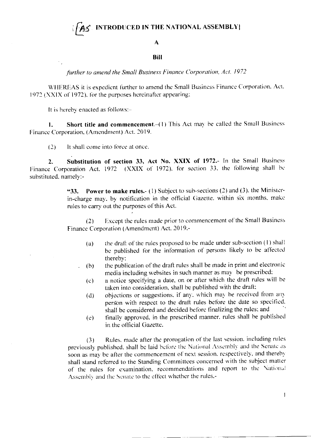## **INTRODUCED IN THE NATIONAL ASSEMBLY**

## $\mathbf A$

## **Bill**

further to amend the Small Business Finance Corporation, Act. 1972

WHEREAS it is expedient further to amend the Small Business Finance Corporation. Act. 1972 (XXIX of 1972), for the purposes hereinafter appearing:

It is hereby enacted as follows:-

Short title and commencement.-(1) This Act may be called the Small Business 1. Finance Corporation, (Amendment) Act. 2019.

It shall come into force at once.  $(2)$ 

Substitution of section 33, Act No. XXIX of 1972.- In the Small Business  $2.$ Finance Corporation Act. 1972 (XXIX of 1972), for section 33, the following shall be substituted, namely:-

> Power to make rules.- (1) Subject to sub-sections (2) and (3), the Minister-"33. in-charge may, by notification in the official Gazette, within six months, make rules to carry out the purposes of this Act.

> Except the rules made prior to commencement of the Small Business  $(2)$ Finance Corporation (Amendment) Act. 2019,-

- the draft of the rules proposed to be made under sub-section (1) shall (a) be published for the information of persons likely to be affected thereby;
- the publication of the draft rules shall be made in print and electronic  $(b)$ media including websites in such manner as may be prescribed:
- a notice specifying a date, on or after which the draft rules will be  $(c)$ taken into consideration, shall be published with the draft:
- objections or suggestions, if any, which may be received from any  $(d)$ person with respect to the draft rules before the date so specified. shall be considered and decided before finalizing the rules; and
- finally approved, in the prescribed manner, rules shall be published  $\left( \mathrm{e}\right)$ in the official Gazette.

Rules, made after the prorogation of the last session, including rules  $(3)$ previously published, shall be laid before the National Assembly and the Senate as soon as may be after the commencement of next session, respectively, and thereby shall stand referred to the Standing Committees concerned with the subject matter of the rules for examination, recommendations and report to the National Assembly and the Senate to the effect whether the rules.-